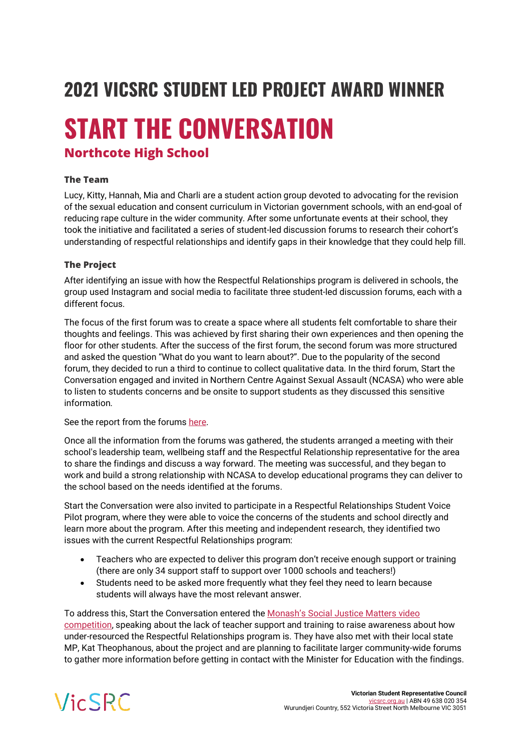## **2021 VICSRC STUDENT LED PROJECT AWARD WINNER**

# **START THE CONVERSATION**

### **Northcote High School**

#### **The Team**

Lucy, Kitty, Hannah, Mia and Charli are a student action group devoted to advocating for the revision of the sexual education and consent curriculum in Victorian government schools, with an end-goal of reducing rape culture in the wider community. After some unfortunate events at their school, they took the initiative and facilitated a series of student-led discussion forums to research their cohort's understanding of respectful relationships and identify gaps in their knowledge that they could help fill.

#### **The Project**

After identifying an issue with how the Respectful Relationships program is delivered in schools, the group used Instagram and social media to facilitate three student-led discussion forums, each with a different focus.

The focus of the first forum was to create a space where all students felt comfortable to share their thoughts and feelings. This was achieved by first sharing their own experiences and then opening the floor for other students. After the success of the first forum, the second forum was more structured and asked the question "What do you want to learn about?". Due to the popularity of the second forum, they decided to run a third to continue to collect qualitative data. In the third forum, Start the Conversation engaged and invited in Northern Centre Against Sexual Assault (NCASA) who were able to listen to students concerns and be onsite to support students as they discussed this sensitive information.

#### See the report from the forum[s here.](https://files.vicsrc.org.au/web/sva2021/case-studies/STC%20report%20from%20student%20forums.pdf)

Once all the information from the forums was gathered, the students arranged a meeting with their school's leadership team, wellbeing staff and the Respectful Relationship representative for the area to share the findings and discuss a way forward. The meeting was successful, and they began to work and build a strong relationship with NCASA to develop educational programs they can deliver to the school based on the needs identified at the forums.

Start the Conversation were also invited to participate in a Respectful Relationships Student Voice Pilot program, where they were able to voice the concerns of the students and school directly and learn more about the program. After this meeting and independent research, they identified two issues with the current Respectful Relationships program:

- Teachers who are expected to deliver this program don't receive enough support or training (there are only 34 support staff to support over 1000 schools and teachers!)
- Students need to be asked more frequently what they feel they need to learn because students will always have the most relevant answer.

To address this, Start the Conversation entered the [Monash's Social Justice Matters video](https://www.youtube.com/watch?v=qje-rXM-Dkg)  [competition,](https://www.youtube.com/watch?v=qje-rXM-Dkg) speaking about the lack of teacher support and training to raise awareness about how under-resourced the Respectful Relationships program is. They have also met with their local state MP, Kat Theophanous, about the project and are planning to facilitate larger community-wide forums to gather more information before getting in contact with the Minister for Education with the findings.